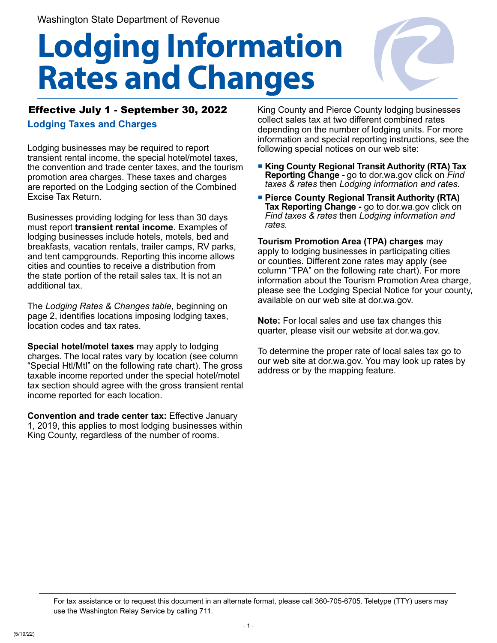## **Lodging Information Rates and Changes**



## Effective July 1 - September 30, 2022

**Lodging Taxes and Charges**

Lodging businesses may be required to report transient rental income, the special hotel/motel taxes, the convention and trade center taxes, and the tourism promotion area charges. These taxes and charges are reported on the Lodging section of the Combined Excise Tax Return.

Businesses providing lodging for less than 30 days must report **transient rental income**. Examples of lodging businesses include hotels, motels, bed and breakfasts, vacation rentals, trailer camps, RV parks, and tent campgrounds. Reporting this income allows cities and counties to receive a distribution from the state portion of the retail sales tax. It is not an additional tax.

The *Lodging Rates & Changes table*, beginning on page 2, identifies locations imposing lodging taxes, location codes and tax rates.

**Special hotel/motel taxes** may apply to lodging charges. The local rates vary by location (see column "Special Htl/Mtl" on the following rate chart). The gross taxable income reported under the special hotel/motel tax section should agree with the gross transient rental income reported for each location.

**Convention and trade center tax:** Effective January 1, 2019, this applies to most lodging businesses within King County, regardless of the number of rooms.

King County and Pierce County lodging businesses collect sales tax at two different combined rates depending on the number of lodging units. For more information and special reporting instructions, see the following special notices on our web site:

- **King County Regional Transit Authority (RTA) Tax Reporting Change -** go to dor.wa.gov click on *Find taxes & rates* then *Lodging information and rates.*
- **Pierce County Regional Transit Authority (RTA) Tax Reporting Change -** go to dor.wa.gov click on *Find taxes & rates* then *Lodging information and rates.*

**Tourism Promotion Area (TPA) charges** may apply to lodging businesses in participating cities or counties. Different zone rates may apply (see column "TPA" on the following rate chart). For more information about the Tourism Promotion Area charge, please see the Lodging Special Notice for your county, available on our web site at dor.wa.gov.

**Note:** For local sales and use tax changes this quarter, please visit our website at dor.wa.gov.

To determine the proper rate of local sales tax go to our web site at dor.wa.gov. You may look up rates by address or by the mapping feature.

For tax assistance or to request this document in an alternate format, please call 360-705-6705. Teletype (TTY) users may use the Washington Relay Service by calling 711.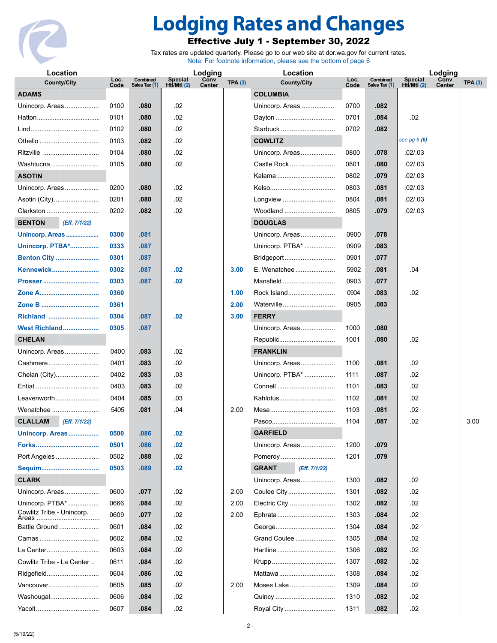

## **Lodging Rates and Changes**

## Effective July 1 - September 30, 2022

Tax rates are updated quarterly. Please go to our web site at dor.wa.gov for current rates. Note: For footnote information, please see the bottom of page 6

| Location                        |              |                           | Lodging                       |                       |        | Location                      |              |                           | Lodging                |                |        |
|---------------------------------|--------------|---------------------------|-------------------------------|-----------------------|--------|-------------------------------|--------------|---------------------------|------------------------|----------------|--------|
| <b>County/City</b>              | Loc.<br>Code | Combined<br>Sales Tax (1) | <b>Special</b><br>Htl/Mtl (2) | Conv<br><b>Center</b> | TPA(3) | <b>County/City</b>            | Loc.<br>Code | Combined<br>Sales Tax (1) | Special<br>Htl/Mtl (2) | Conv<br>Center | TPA(3) |
| <b>ADAMS</b>                    |              |                           |                               |                       |        | <b>COLUMBIA</b>               |              |                           |                        |                |        |
| Unincorp. Areas                 | 0100         | .080                      | .02                           |                       |        | Unincorp. Areas               | 0700         | .082                      |                        |                |        |
|                                 | 0101         | .080                      | .02                           |                       |        | Dayton                        | 0701         | .084                      | .02                    |                |        |
|                                 | 0102         | .080                      | .02                           |                       |        | Starbuck                      | 0702         | .082                      |                        |                |        |
| Othello                         | 0103         | .082                      | .02                           |                       |        | <b>COWLITZ</b>                |              |                           | see pg $6(6)$          |                |        |
| Ritzville                       | 0104         | .080                      | .02                           |                       |        | Unincorp. Areas               | 0800         | .078                      | .02 / .03              |                |        |
| Washtucna                       | 0105         | .080                      | .02                           |                       |        | Castle Rock                   | 0801         | .080                      | .02 / .03              |                |        |
| <b>ASOTIN</b>                   |              |                           |                               |                       |        | Kalama                        | 0802         | .079                      | .02 / .03              |                |        |
| Unincorp. Areas                 | 0200         | .080                      | .02                           |                       |        |                               | 0803         | .081                      | .02 / .03              |                |        |
| Asotin (City)                   | 0201         | .080                      | .02                           |                       |        | Longview                      | 0804         | .081                      | .02 / .03              |                |        |
| Clarkston                       | 0202         | .082                      | .02                           |                       |        | Woodland                      | 0805         | .079                      | .02 / .03              |                |        |
| (Eff. 7/1/22)<br><b>BENTON</b>  |              |                           |                               |                       |        | <b>DOUGLAS</b>                |              |                           |                        |                |        |
| Unincorp. Areas                 | 0300         | .081                      |                               |                       |        | Unincorp. Areas               | 0900         | .078                      |                        |                |        |
| <b>Unincorp. PTBA*</b>          | 0333         | .087                      |                               |                       |        | Unincorp. PTBA*               | 0909         | .083                      |                        |                |        |
| <b>Benton City </b>             | 0301         | .087                      |                               |                       |        | Bridgeport                    | 0901         | .077                      |                        |                |        |
| <b>Kennewick</b>                | 0302         | .087                      | .02                           |                       | 3.00   | E. Wenatchee                  | 5902         | .081                      | .04                    |                |        |
| Prosser                         | 0303         | .087                      | .02                           |                       |        | Mansfield                     | 0903         | .077                      |                        |                |        |
| Zone A                          | 0360         |                           |                               |                       | 1.00   | Rock Island                   | 0904         | .083                      | .02                    |                |        |
|                                 | 0361         |                           |                               |                       | 2.00   | Waterville                    | 0905         | .083                      |                        |                |        |
| Richland                        | 0304         | .087                      | .02                           |                       | 3.00   | <b>FERRY</b>                  |              |                           |                        |                |        |
| West Richland                   | 0305         | .087                      |                               |                       |        | Unincorp. Areas               | 1000         | .080                      |                        |                |        |
| <b>CHELAN</b>                   |              |                           |                               |                       |        | Republic                      | 1001         | .080                      | .02                    |                |        |
| Unincorp. Areas                 | 0400         | .083                      | .02                           |                       |        | <b>FRANKLIN</b>               |              |                           |                        |                |        |
| Cashmere                        | 0401         | .083                      | .02                           |                       |        | Unincorp. Areas               | 1100         | .081                      | .02                    |                |        |
| Chelan (City)                   | 0402         | .083                      | .03                           |                       |        | Unincorp. PTBA*               | 1111         | .087                      | .02                    |                |        |
|                                 | 0403         | .083                      | .02                           |                       |        |                               | 1101         | .083                      | .02                    |                |        |
| Leavenworth                     | 0404         | .085                      | .03                           |                       |        | Kahlotus                      | 1102         | .081                      | .02                    |                |        |
| Wenatchee                       | 5405         | .081                      | .04                           |                       | 2.00   |                               | 1103         | .081                      | .02                    |                |        |
| <b>CLALLAM</b><br>(Eff. 7/1/22) |              |                           |                               |                       |        | Pasco                         | 1104         | .087                      | .02                    |                | 3.00   |
| Unincorp. Areas                 | 0500         | .086                      | .02                           |                       |        | <b>GARFIELD</b>               |              |                           |                        |                |        |
|                                 | 0501         | .086                      | .02                           |                       |        | Unincorp. Areas               | 1200         | .079                      |                        |                |        |
| Port Angeles                    | 0502         | .088                      | .02                           |                       |        | Pomeroy                       | 1201         | .079                      |                        |                |        |
|                                 | 0503         | .089                      | .02                           |                       |        | <b>GRANT</b><br>(Eff. 7/1/22) |              |                           |                        |                |        |
| <b>CLARK</b>                    |              |                           |                               |                       |        | Unincorp. Areas               | 1300         | .082                      | .02                    |                |        |
| Unincorp. Areas                 | 0600         | .077                      | .02                           |                       | 2.00   | Coulee City                   | 1301         | .082                      | .02                    |                |        |
| Unincorp. PTBA*                 | 0666         | .084                      | .02                           |                       | 2.00   | Electric City                 | 1302         | .082                      | .02                    |                |        |
| Cowlitz Tribe - Unincorp.       | 0609         | .077                      | .02                           |                       | 2.00   | Ephrata                       | 1303         | .084                      | .02                    |                |        |
| Battle Ground                   | 0601         | .084                      | .02                           |                       |        | George                        | 1304         | .084                      | .02                    |                |        |
|                                 | 0602         | .084                      | .02                           |                       |        | Grand Coulee                  | 1305         | .084                      | .02                    |                |        |
| La Center                       | 0603         | .084                      | .02                           |                       |        | Hartline                      | 1306         | .082                      | .02                    |                |        |
| Cowlitz Tribe - La Center       | 0611         | .084                      | .02                           |                       |        |                               | 1307         | .082                      | .02                    |                |        |
| Ridgefield                      | 0604         | .086                      | .02                           |                       |        | Mattawa                       | 1308         | .084                      | .02                    |                |        |
| Vancouver                       | 0605         | .085                      | .02                           |                       | 2.00   | Moses Lake                    | 1309         | .084                      | .02                    |                |        |
| Washougal                       | 0606         | .084                      | .02                           |                       |        | Quincy                        | 1310         | .082                      | .02                    |                |        |
|                                 | 0607         | .084                      | .02                           |                       |        | Royal City                    | 1311         | .082                      | .02                    |                |        |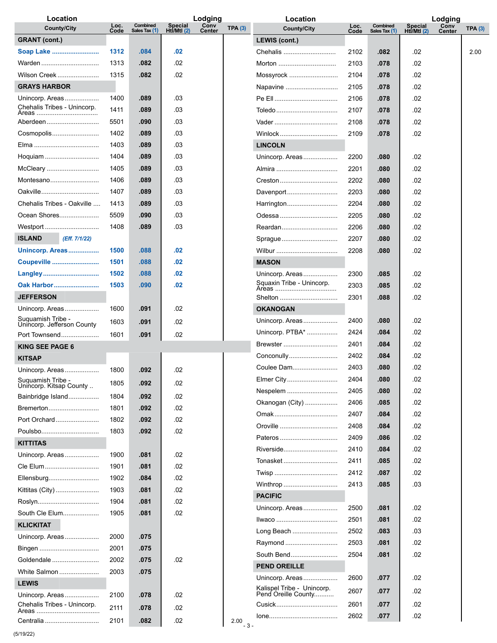| Location                             |              |                           |                                 | Lodging        |        | Location                                      |              |                           |                                 | Lodging        |        |
|--------------------------------------|--------------|---------------------------|---------------------------------|----------------|--------|-----------------------------------------------|--------------|---------------------------|---------------------------------|----------------|--------|
| <b>County/City</b>                   | Loc.<br>Code | Combined<br>Sales Tax (1) | <b>Special</b><br>Hti/Mtl $(2)$ | Conv<br>Center | TPA(3) | <b>County/City</b>                            | Loc.<br>Code | Combined<br>Sales Tax (1) | <b>Special</b><br>Htl/Mtl $(2)$ | Conv<br>Center | TPA(3) |
| <b>GRANT</b> (cont.)                 |              |                           |                                 |                |        | LEWIS (cont.)                                 |              |                           |                                 |                |        |
| Soap Lake                            | 1312         | .084                      | .02                             |                |        | Chehalis                                      | 2102         | .082                      | .02                             |                | 2.00   |
| Warden                               | 1313         | .082                      | .02                             |                |        | Morton                                        | 2103         | .078                      | .02                             |                |        |
| Wilson Creek                         | 1315         | .082                      | .02                             |                |        | Mossyrock                                     | 2104         | .078                      | .02                             |                |        |
| <b>GRAYS HARBOR</b>                  |              |                           |                                 |                |        | Napavine                                      | 2105         | .078                      | .02                             |                |        |
| Unincorp. Areas                      | 1400         | .089                      | .03                             |                |        |                                               | 2106         | .078                      | .02                             |                |        |
| Chehalis Tribes - Unincorp.          | 1411         | .089                      | .03                             |                |        | Toledo                                        | 2107         | .078                      | .02                             |                |        |
| Aberdeen                             | 5501         | .090                      | .03                             |                |        |                                               | 2108         | .078                      | .02                             |                |        |
| Cosmopolis                           | 1402         | .089                      | .03                             |                |        | Winlock                                       | 2109         | .078                      | .02                             |                |        |
|                                      | 1403         | .089                      | .03                             |                |        | <b>LINCOLN</b>                                |              |                           |                                 |                |        |
| Hoquiam                              | 1404         | .089                      | .03                             |                |        | Unincorp. Areas                               | 2200         | .080                      | .02                             |                |        |
| McCleary                             | 1405         | .089                      | .03                             |                |        | Almira                                        | 2201         | .080                      | .02                             |                |        |
| Montesano                            | 1406         | .089                      | .03                             |                |        | Creston                                       | 2202         | .080                      | .02                             |                |        |
| Oakville                             | 1407         | .089                      | .03                             |                |        | Davenport                                     | 2203         | .080                      | .02                             |                |        |
| Chehalis Tribes - Oakville           | 1413         | .089                      | .03                             |                |        | Harrington                                    | 2204         | .080                      | .02                             |                |        |
| Ocean Shores                         | 5509         | .090                      | .03                             |                |        | Odessa                                        | 2205         | .080                      | .02                             |                |        |
| Westport                             | 1408         | .089                      | .03                             |                |        | Reardan                                       | 2206         | .080                      | .02                             |                |        |
| (Eff. 7/1/22)<br><b>ISLAND</b>       |              |                           |                                 |                |        | Spraque                                       | 2207         | .080                      | .02                             |                |        |
| Unincorp. Areas                      | 1500         | .088                      | .02                             |                |        | Wilbur                                        | 2208         | .080                      | .02                             |                |        |
| Coupeville                           | 1501         | .088                      | .02                             |                |        | <b>MASON</b>                                  |              |                           |                                 |                |        |
| Langley                              | 1502         | .088                      | .02                             |                |        | Unincorp. Areas                               | 2300         | .085                      | .02                             |                |        |
| Oak Harbor                           | 1503         | .090                      | .02                             |                |        | Squaxin Tribe - Unincorp.<br>Areas            | 2303         | .085                      | .02                             |                |        |
| <b>JEFFERSON</b>                     |              |                           |                                 |                |        | Shelton                                       | 2301         | .088                      | .02                             |                |        |
| Unincorp. Areas                      | 1600         | .091                      | .02                             |                |        | <b>OKANOGAN</b>                               |              |                           |                                 |                |        |
| Suquamish Tribe -                    | 1603         | .091                      | .02                             |                |        | Unincorp. Areas                               | 2400         | .080                      | .02                             |                |        |
| Unincorp. Jefferson County           |              |                           |                                 |                |        | Unincorp. PTBA*                               | 2424         | .084                      | .02                             |                |        |
| Port Townsend                        | 1601         | .091                      | .02                             |                |        | Brewster                                      | 2401         | .084                      | .02                             |                |        |
| <b>KING SEE PAGE 6</b>               |              |                           |                                 |                |        | Conconully                                    | 2402         | .084                      | .02                             |                |        |
| <b>KITSAP</b>                        |              |                           |                                 |                |        | Coulee Dam                                    | 2403         | .080                      | .02                             |                |        |
| Unincorp. Areas<br>Suguamish Tribe - | 1800         | .092                      | .02                             |                |        | Elmer City                                    | 2404         | .080                      | 02                              |                |        |
| Unincorp. Kitsap County              | 1805         | .092                      | .02                             |                |        | Nespelem                                      | 2405         | .080                      | .02                             |                |        |
| Bainbridge Island                    | 1804         | .092                      | .02                             |                |        | Okanogan (City)                               | 2406         | .085                      | .02                             |                |        |
| Bremerton                            | 1801         | .092                      | .02                             |                |        |                                               | 2407         | .084                      | .02                             |                |        |
| Port Orchard                         | 1802         | .092                      | .02                             |                |        | Oroville                                      | 2408         | .084                      | .02                             |                |        |
| Poulsbo                              | 1803         | .092                      | .02                             |                |        | Pateros                                       | 2409         | .086                      | .02                             |                |        |
| <b>KITTITAS</b>                      |              |                           |                                 |                |        | Riverside                                     | 2410         | .084                      | .02                             |                |        |
| Unincorp. Areas                      | 1900         | .081                      | .02                             |                |        | Tonasket                                      | 2411         | .085                      | .02                             |                |        |
| Cle Elum                             | 1901         | .081                      | .02                             |                |        |                                               | 2412         | .087                      | .02                             |                |        |
| Ellensburg                           | 1902         | .084                      | .02                             |                |        | Winthrop                                      | 2413         | .085                      | .03                             |                |        |
| Kittitas (City)                      | 1903         | .081                      | .02                             |                |        | <b>PACIFIC</b>                                |              |                           |                                 |                |        |
| Roslyn                               | 1904         | .081                      | .02                             |                |        | Unincorp. Areas                               | 2500         | .081                      | .02                             |                |        |
| South Cle Elum                       | 1905         | .081                      | .02                             |                |        | Ilwaco                                        | 2501         | .081                      | .02                             |                |        |
| <b>KLICKITAT</b>                     |              |                           |                                 |                |        | Long Beach                                    | 2502         | .083                      | .03                             |                |        |
| Unincorp. Areas                      | 2000         | .075                      |                                 |                |        |                                               | 2503         | .081                      | .02                             |                |        |
| Bingen                               | 2001         | .075                      |                                 |                |        | Raymond                                       |              |                           |                                 |                |        |
| Goldendale                           | 2002         | .075                      | .02                             |                |        | South Bend                                    | 2504         | .081                      | .02                             |                |        |
| White Salmon                         | 2003         | .075                      |                                 |                |        | <b>PEND OREILLE</b>                           |              |                           |                                 |                |        |
| <b>LEWIS</b>                         |              |                           |                                 |                |        | Unincorp. Areas<br>Kalispel Tribe - Unincorp. | 2600         | .077                      | .02                             |                |        |
| Unincorp. Areas                      | 2100         | .078                      | .02                             |                |        | Pend Oreille County                           | 2607         | .077                      | .02                             |                |        |
| Chehalis Tribes - Unincorp.          | 2111         | .078                      | .02                             |                |        |                                               | 2601         | .077                      | .02                             |                |        |
| Centralia                            | 2101         | .082                      | .02                             |                | 2.00   |                                               | 2602         | .077                      | .02                             |                |        |
|                                      |              |                           |                                 |                | $-3-$  |                                               |              |                           |                                 |                |        |

(5/19/22)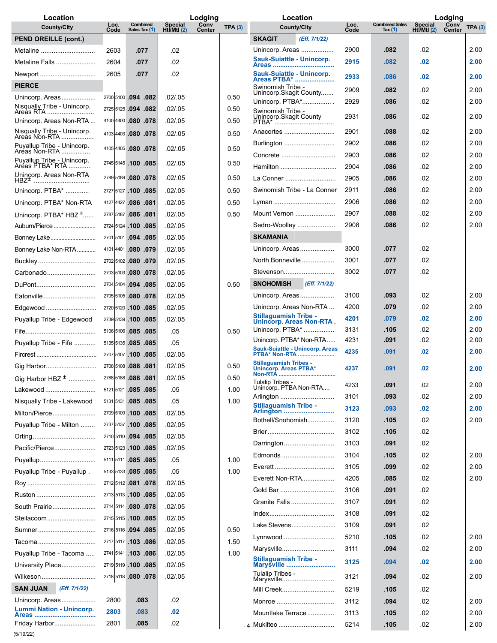| Location                                    |                |                             | Lodging                           |                       |              | Location                                                |              |                                  | Lodging                       |                       |              |  |
|---------------------------------------------|----------------|-----------------------------|-----------------------------------|-----------------------|--------------|---------------------------------------------------------|--------------|----------------------------------|-------------------------------|-----------------------|--------------|--|
| <b>County/City</b>                          | Loc.<br>Code   | Combined<br>Sales Tax (1)   | <b>Special</b><br>$Ht$ /Mtl $(2)$ | Conv<br><b>Center</b> | TPA(3)       | <b>County/City</b>                                      | Loc.<br>Code | <b>Combined Sales</b><br>Tax (1) | <b>Special</b><br>Htĺ/Mtl (2) | Conv<br><b>Center</b> | TPA(3)       |  |
| <b>PEND OREILLE (cont.)</b>                 |                |                             |                                   |                       |              | <b>SKAGIT</b><br>(Eff. 7/1/22)                          |              |                                  |                               |                       |              |  |
| Metaline                                    | 2603           | .077                        | .02                               |                       |              | Unincorp. Areas                                         | 2900         | .082                             | .02                           |                       | 2.00         |  |
| Metaline Falls                              | 2604           | .077                        | .02                               |                       |              | Sauk-Suiattle - Unincorp.                               | 2915         | .082                             | .02                           |                       | 2.00         |  |
| Newport                                     | 2605           | .077                        | .02                               |                       |              | Sauk-Suiattle - Unincorp.<br>Areas PTBA*                | 2933         | .086                             | .02                           |                       | 2.00         |  |
| <b>PIERCE</b>                               |                |                             |                                   |                       |              | Swinomish Tribe -                                       | 2909         | .082                             | .02                           |                       | 2.00         |  |
| Unincorp. Areas                             |                | 2700 5100 .094 .082         | .02 / .05                         |                       | 0.50         | Unincorp.Skagit County<br>Unincorp. PTBA*               | 2929         | .086                             | .02                           |                       | 2.00         |  |
| Nisqually Tribe - Unincorp.<br>Areas RTA    | 2725 5125 .094 | .082                        | .02/0.05                          |                       | 0.50         | Swinomish Tribe -                                       | 2931         |                                  | .02                           |                       | 2.00         |  |
| Unincorp. Areas Non-RTA                     |                | 4100 4400 .080 .078         | .02 / .05                         |                       | 0.50         | Unincorp.Skagit County<br>PTBA*                         |              | .086                             |                               |                       |              |  |
| Nisqually Tribe - Unincorp.                 | 4103 4403 .080 | .078                        | .02/.05                           |                       | 0.50         | Anacortes                                               | 2901         | .088                             | .02                           |                       | 2.00         |  |
| Puyallup Tribe - Unincorp.<br>Aréas Non-RTA |                | 4105 4405 .080 .078         | .02/.05                           |                       | 0.50         | Burlington                                              | 2902         | .086                             | .02                           |                       | 2.00         |  |
| Puyallup Tribe - Unincorp.                  | 2745 5145 100  | .085                        | .02/.05                           |                       | 0.50         | Concrete                                                | 2903         | .086                             | .02                           |                       | 2.00         |  |
| Aréas PTBA* RTA<br>Unincorp. Areas Non-RTA  |                |                             |                                   |                       |              | Hamilton                                                | 2904         | .086                             | .02                           |                       | 2.00         |  |
| HBZ <sup>±</sup>                            |                | 2789 5189 .080 .078         | .02/.05                           |                       | 0.50         | La Conner                                               | 2905         | .086                             | .02                           |                       | 2.00         |  |
| Unincorp. PTBA*                             |                | 2727 5127 .100 .085         | .02 / .05                         |                       | 0.50         | Swinomish Tribe - La Conner                             | 2911         | .086                             | .02                           |                       | 2.00         |  |
| Unincorp. PTBA* Non-RTA                     | 4127 4427 .086 | .081                        | .02/0.05                          |                       | 0.50         | Lyman                                                   | 2906         | .086                             | .02                           |                       | 2.00         |  |
| Unincorp. PTBA* $H B Z^{\pm}$               |                | 2787 5187 .086 .081         | .02 / .05                         |                       | 0.50         | Mount Vernon                                            | 2907         | .088                             | .02                           |                       | 2.00         |  |
| Auburn/Pierce                               | 2724 5124 100  | .085                        | .02 / .05                         |                       |              | Sedro-Woolley                                           | 2908         | .086                             | .02                           |                       | 2.00         |  |
| Bonney Lake                                 |                | 2701 5101 .094 .085         | .02 / .05                         |                       |              | <b>SKAMANIA</b>                                         |              |                                  |                               |                       |              |  |
| Bonney Lake Non-RTA                         |                | 4101 4401 .080 .079         | .02 / .05                         |                       |              | Unincorp. Areas                                         | 3000         | .077                             | .02                           |                       |              |  |
| Buckley                                     |                | 2702 5102 .080 .079         | .02/0.05                          |                       |              | North Bonneville                                        | 3001         | .077                             | .02                           |                       |              |  |
| Carbonado                                   |                | 2703 5103 .080 .078         | .02 / .05                         |                       |              | Stevenson                                               | 3002         | .077                             | .02                           |                       |              |  |
| DuPont                                      | 2704 5104 .094 | .085                        | .02 / .05                         |                       | 0.50         | <b>SNOHOMISH</b><br>(Eff. 7/1/22)                       |              |                                  |                               |                       |              |  |
| Eatonville                                  |                | 2705 5105 .080 .078         | .02 / .05                         |                       |              | Unincorp. Areas                                         | 3100         | .093                             | .02                           |                       | 2.00         |  |
| Edgewood                                    |                | 2720 5120 .100 .085         | .02 / .05                         |                       |              | Unincorp. Areas Non-RTA<br><b>Stillaguamish Tribe -</b> | 4200         | .079                             | .02                           |                       | 2.00<br>2.00 |  |
| Puyallup Tribe - Edgewood                   | 2739 5139 100  | .085                        | .02 / .05                         |                       |              | Unincorp. Areas Non-RTA.<br>Unincorp. PTBA*             | 4201<br>3131 | .079<br>.105                     | .02<br>.02                    |                       | 2.00         |  |
|                                             |                | 5106 5106 .085 .085         | .05                               |                       | 0.50         | Unincorp. PTBA* Non-RTA                                 | 4231         | .091                             | .02                           |                       | 2.00         |  |
| Puyallup Tribe - Fife                       | 5135 5135 .085 | .085                        | .05                               |                       |              | <b>Sauk-Suiattle - Unincorp. Areas</b>                  | 4235         | .091                             | .02                           |                       | 2.00         |  |
|                                             | 2707 5107 100  | .085                        | .02 / .05                         |                       |              | PTBA* Non-RTA<br><b>Stillaguamish Tribes -</b>          |              |                                  |                               |                       |              |  |
| Gig Harbor                                  | 2788 5188 .088 | 2708 5108 .088 .081<br>.081 | .02 / .05<br>.02 / .05            |                       | 0.50<br>0.50 | Unincorp. Areas PTBA*                                   | 4237         | .091                             | .02                           |                       | 2.00         |  |
| Gig Harbor HBZ <sup>+</sup><br>Lakewood     |                | 5121 5121 .085 .085         | .05                               |                       | 1.00         | Tulalip Tribes -<br>Unincorp. PTBA Non-RTA              | 4233         | .091                             | .02                           |                       | 2.00         |  |
| Nisqually Tribe - Lakewood                  |                | 5131 5131 .085 .085         | .05                               |                       | 1.00         | Arlington                                               | 3101         | .093                             | .02                           |                       | 2.00         |  |
| Milton/Pierce                               |                | 2709 5109 .100 .085         | .02 / .05                         |                       |              | <b>Stillaguamish Tribe -</b><br>Arlington               | 3123         | .093                             | .02                           |                       | 2.00         |  |
| Puyallup Tribe - Milton                     |                | 2737 5137 .100 .085         | .02 / .05                         |                       |              | Bothell/Snohomish                                       | 3120         | .105                             | .02                           |                       | 2.00         |  |
|                                             | 2710 5110 .094 | .085                        | .02 / .05                         |                       |              |                                                         | 3102         | .105                             | .02                           |                       |              |  |
| Pacific/Pierce                              |                | 2723 5123 .100 .085         | .02 / .05                         |                       |              | Darrington                                              | 3103         | .091                             | .02                           |                       |              |  |
| Puyallup                                    |                | 5111 5111 .085 .085         | .05                               |                       | 1.00         | Edmonds                                                 | 3104         | .105                             | .02                           |                       | 2.00         |  |
| Puyallup Tribe - Puyallup.                  |                | 5133 5133 .085 .085         | .05                               |                       | 1.00         | Everett                                                 | 3105         | .099                             | .02                           |                       | 2.00         |  |
|                                             |                | 2712 5112 .081 .078         | .02 / .05                         |                       |              | Everett Non-RTA                                         | 4205         | .085                             | .02                           |                       | 2.00         |  |
| Ruston                                      |                | 2713 5113 .100 .085         | .02 / .05                         |                       |              | Gold Bar                                                | 3106         | .091                             | .02                           |                       |              |  |
| South Prairie                               |                | 2714 5114 .080 .078         | .02 / .05                         |                       |              | Granite Falls                                           | 3107         | .091                             | .02                           |                       |              |  |
| Steilacoom                                  |                | 2715 5115 .100 .085         | .02 / .05                         |                       |              |                                                         | 3108         | .091                             | .02                           |                       |              |  |
| Sumner                                      |                | 2716 5116 .094 .085         | .02 / .05                         |                       | 0.50         | Lake Stevens                                            | 3109         | .091                             | .02                           |                       |              |  |
| Tacoma                                      |                | 2717 5117 .103 .086         | .02 / .05                         |                       | 1.50         | Lynnwood                                                | 5210         | .105                             | .02                           |                       | 2.00         |  |
| Puyallup Tribe - Tacoma                     |                | 2741 5141 .103 .086         | .02 / .05                         |                       | 1.00         | Marysville                                              | 3111         | .094                             | .02                           |                       | 2.00         |  |
| University Place                            |                | 2719 5119 .100 .085         | .02 / .05                         |                       |              | Stillaguamish Tribe -<br>Marysville                     | 3125         | .094                             | .02                           |                       | 2.00         |  |
| Wilkeson                                    |                | 2718 5118 .080 .078         | .02 / .05                         |                       |              | Tulalip Tribes -<br>Maryṡville                          | 3121         | .094                             | .02                           |                       | 2.00         |  |
| <b>SAN JUAN</b><br>(Eff. 7/1/22)            |                |                             |                                   |                       |              | Mill Creek                                              | 5219         | .105                             | .02                           |                       |              |  |
| Unincorp. Areas                             | 2800           | .083                        | .02                               |                       |              | Monroe                                                  | 3112         | .094                             | .02                           |                       | 2.00         |  |
| <b>Lummi Nation - Unincorp.</b>             | 2803           | .083                        | .02                               |                       |              | Mountlake Terrace                                       | 3113         | .105                             | .02                           |                       | 2.00         |  |
| Friday Harbor                               | 2801           | .085                        | .02                               |                       |              | <u>- 4 Mukilteo </u>                                    | 5214         | .105                             | .02                           |                       | 2.00         |  |
| (5/19/22)                                   |                |                             |                                   |                       |              |                                                         |              |                                  |                               |                       |              |  |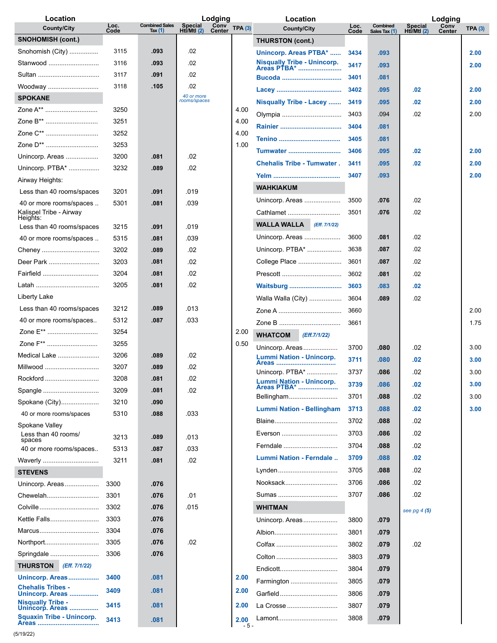| Location                                            |              |                                    | Lodging                                  |        | Location                                   |              |                           |                               | Lodging        |        |
|-----------------------------------------------------|--------------|------------------------------------|------------------------------------------|--------|--------------------------------------------|--------------|---------------------------|-------------------------------|----------------|--------|
| <b>County/City</b>                                  | Loc.<br>Code | <b>Combined Sales</b><br>Tax $(1)$ | Conv<br>Center<br>Special<br>Hti/Mtl (2) | TPA(3) | <b>County/City</b>                         | Loc.<br>Code | Combined<br>Sales Tax (1) | <b>Special</b><br>Htl/Mtl (2) | Conv<br>Center | TPA(3) |
| <b>SNOHOMISH (cont.)</b>                            |              |                                    |                                          |        | THURSTON (cont.)                           |              |                           |                               |                |        |
| Snohomish (City)                                    | 3115         | .093                               | .02                                      |        | Unincorp. Areas PTBA*                      | 3434         | .093                      |                               |                | 2.00   |
| Stanwood                                            | 3116         | .093                               | .02                                      |        | Nisqually Tribe - Unincorp.<br>Areas PTBA* | 3417         | .093                      |                               |                | 2.00   |
| Sultan                                              | 3117         | .091                               | .02                                      |        |                                            | 3401         | .081                      |                               |                |        |
| Woodway                                             | 3118         | .105                               | .02                                      |        |                                            | 3402         | .095                      | .02                           |                | 2.00   |
| <b>SPOKANE</b>                                      |              |                                    | 40 or more<br>rooms/spaces               |        | Nisqually Tribe - Lacey                    | 3419         | .095                      | .02                           |                | 2.00   |
| Zone A**                                            | 3250         |                                    |                                          | 4.00   | Olympia                                    | 3403         | .094                      | .02                           |                | 2.00   |
| Zone B**                                            | 3251         |                                    |                                          | 4.00   |                                            | 3404         | .081                      |                               |                |        |
| Zone C**                                            | 3252         |                                    |                                          | 4.00   |                                            | 3405         | .081                      |                               |                |        |
| Zone D**                                            | 3253         |                                    |                                          | 1.00   | <b>Tumwater </b>                           | 3406         | .095                      | .02                           |                | 2.00   |
| Unincorp. Areas                                     | 3200         | .081                               | .02                                      |        | <b>Chehalis Tribe - Tumwater.</b>          | 3411         | .095                      | .02                           |                | 2.00   |
| Unincorp. PTBA*                                     | 3232         | .089                               | .02                                      |        |                                            | 3407         | .093                      |                               |                | 2.00   |
| Airway Heights:                                     |              |                                    |                                          |        |                                            |              |                           |                               |                |        |
| Less than 40 rooms/spaces                           | 3201         | .091                               | .019                                     |        | <b>WAHKIAKUM</b>                           |              |                           |                               |                |        |
| 40 or more rooms/spaces                             | 5301         | .081                               | .039                                     |        | Unincorp. Areas                            | 3500         | .076                      | .02                           |                |        |
| Kalispel Tribe - Airway<br>Heights:                 |              |                                    |                                          |        | Cathlamet                                  | 3501         | .076                      | .02                           |                |        |
| Less than 40 rooms/spaces                           | 3215         | .091                               | .019                                     |        | <b>WALLA WALLA</b><br>(Eff. 7/1/22)        |              |                           |                               |                |        |
| 40 or more rooms/spaces                             | 5315         | .081                               | .039                                     |        | Unincorp. Areas                            | 3600         | .081                      | .02                           |                |        |
| Cheney                                              | 3202         | .089                               | .02                                      |        | Unincorp. PTBA*                            | 3638         | .087                      | .02                           |                |        |
| Deer Park                                           | 3203         | .081                               | .02                                      |        | College Place                              | 3601         | .087                      | .02                           |                |        |
| Fairfield                                           | 3204         | .081                               | .02                                      |        |                                            | 3602         | .081                      | .02                           |                |        |
|                                                     | 3205         | .081                               | .02                                      |        | <b>Waitsburg </b>                          | 3603         | .083                      | .02                           |                |        |
| Liberty Lake                                        |              |                                    |                                          |        | Walla Walla (City)                         | 3604         | .089                      | .02                           |                |        |
| Less than 40 rooms/spaces                           | 3212         | .089                               | .013                                     |        |                                            | 3660         |                           |                               |                | 2.00   |
| 40 or more rooms/spaces                             | 5312         | .087                               | .033                                     |        |                                            | 3661         |                           |                               |                | 1.75   |
| Zone E**                                            | 3254         |                                    |                                          | 2.00   | <b>WHATCOM</b><br>(Eff.7/1/22)             |              |                           |                               |                |        |
| Zone F**                                            | 3255         |                                    |                                          | 0.50   | Unincorp. Areas                            | 3700         | .080                      | .02                           |                | 3.00   |
| Medical Lake                                        | 3206         | .089                               | .02                                      |        | Lummi Nation - Unincorp.                   | 3711         | .080                      | .02                           |                | 3.00   |
| Millwood                                            | 3207         | .089                               | .02                                      |        | Areas<br>Unincorp. PTBA*                   | 3737         | .086                      | .02                           |                | 3.00   |
| Rockford                                            | 3208         | .081                               | .02                                      |        | <b>Lummi Nation - Unincorp.</b>            | 3739         | .086                      | .02                           |                | 3.00   |
| Spangle                                             | 3209         | .081                               | .02                                      |        | Areas PTBA*<br>Bellingham                  | 3701         | .088                      | .02                           |                | 3.00   |
| Spokane (City)                                      | 3210         | .090                               |                                          |        | <b>Lummi Nation - Bellingham</b>           | 3713         | .088                      | .02                           |                | 3.00   |
| 40 or more rooms/spaces                             | 5310         | .088                               | .033                                     |        |                                            |              |                           | .02                           |                |        |
| Spokane Valley                                      |              |                                    |                                          |        | Blaine                                     | 3702         | .088                      |                               |                |        |
| Less than 40 rooms/<br>spaces                       | 3213         | .089                               | .013                                     |        | Everson                                    | 3703         | .086                      | .02                           |                |        |
| 40 or more rooms/spaces                             | 5313         | .087                               | .033                                     |        | Ferndale                                   | 3704         | .088                      | .02                           |                |        |
| Waverly                                             | 3211         | .081                               | .02                                      |        | Lummi Nation - Ferndale                    | 3709         | .088                      | .02                           |                |        |
| <b>STEVENS</b>                                      |              |                                    |                                          |        | Lynden                                     | 3705         | .088                      | .02                           |                |        |
| Unincorp. Areas                                     | 3300         | .076                               |                                          |        | Nooksack                                   | 3706         | .086                      | .02                           |                |        |
| Chewelah                                            | 3301         | .076                               | .01                                      |        | Sumas                                      | 3707         | .086                      | .02                           |                |        |
| Colville                                            | 3302         | .076                               | .015                                     |        | WHITMAN                                    |              |                           | see pg 4 (5)                  |                |        |
| Kettle Falls                                        | 3303         | .076                               |                                          |        | Unincorp. Areas                            | 3800         | .079                      |                               |                |        |
| Marcus                                              | 3304         | .076                               |                                          |        | Albion                                     | 3801         | .079                      |                               |                |        |
| Northport                                           | 3305         | .076                               | .02                                      |        |                                            | 3802         | .079                      | .02                           |                |        |
| Springdale                                          | 3306         | .076                               |                                          |        |                                            | 3803         | .079                      |                               |                |        |
| <b>THURSTON</b> (Eff. 7/1/22)                       |              |                                    |                                          |        | Endicott                                   | 3804         | .079                      |                               |                |        |
| Unincorp. Areas                                     | 3400         | .081                               |                                          | 2.00   | Farmington                                 | 3805         | .079                      |                               |                |        |
| <b>Chehalis Tribes -</b><br>Unincorp. Areas         | 3409         | .081                               |                                          | 2.00   | Garfield                                   | 3806         | .079                      |                               |                |        |
| <b>Nisqually Tribe -</b>                            | 3415         | .081                               |                                          | 2.00   | La Crosse                                  | 3807         | .079                      |                               |                |        |
| Unincorp. Areas<br><b>Squaxin Tribe - Unincorp.</b> | 3413         | .081                               |                                          | 2.00   | Lamont                                     | 3808         | .079                      |                               |                |        |
|                                                     |              |                                    |                                          | $-5-$  |                                            |              |                           |                               |                |        |